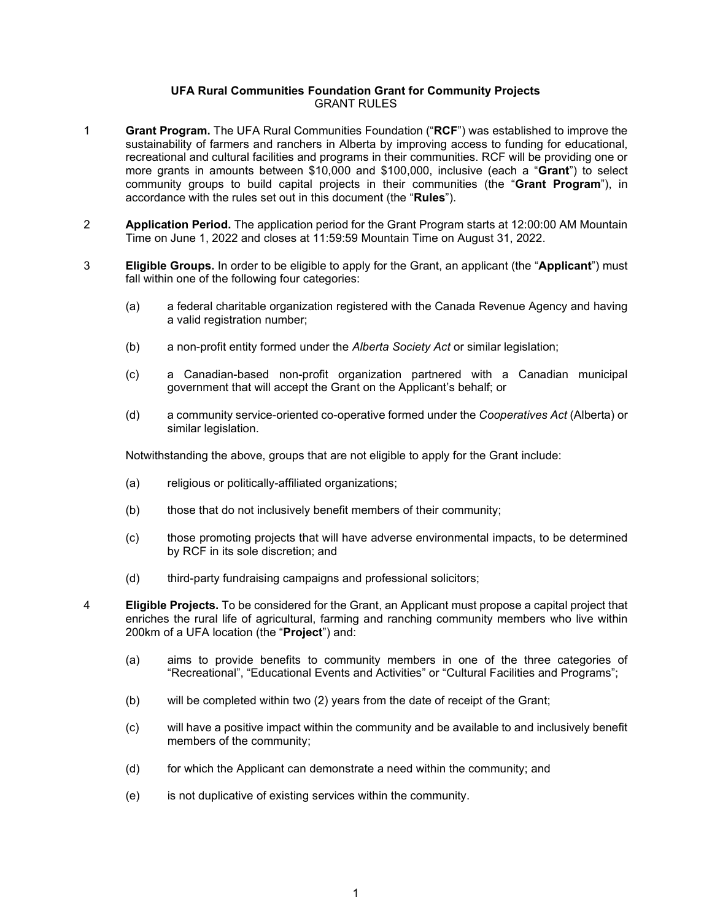## **UFA Rural Communities Foundation Grant for Community Projects** GRANT RULES

- 1 **Grant Program.** The UFA Rural Communities Foundation ("**RCF**") was established to improve the sustainability of farmers and ranchers in Alberta by improving access to funding for educational, recreational and cultural facilities and programs in their communities. RCF will be providing one or more grants in amounts between \$10,000 and \$100,000, inclusive (each a "**Grant**") to select community groups to build capital projects in their communities (the "**Grant Program**"), in accordance with the rules set out in this document (the "**Rules**").
- 2 **Application Period.** The application period for the Grant Program starts at 12:00:00 AM Mountain Time on June 1, 2022 and closes at 11:59:59 Mountain Time on August 31, 2022.
- 3 **Eligible Groups.** In order to be eligible to apply for the Grant, an applicant (the "**Applicant**") must fall within one of the following four categories:
	- (a) a federal charitable organization registered with the Canada Revenue Agency and having a valid registration number;
	- (b) a non-profit entity formed under the *Alberta Society Act* or similar legislation;
	- (c) a Canadian-based non-profit organization partnered with a Canadian municipal government that will accept the Grant on the Applicant's behalf; or
	- (d) a community service-oriented co-operative formed under the *Cooperatives Act* (Alberta) or similar legislation.

Notwithstanding the above, groups that are not eligible to apply for the Grant include:

- (a) religious or politically-affiliated organizations;
- (b) those that do not inclusively benefit members of their community;
- (c) those promoting projects that will have adverse environmental impacts, to be determined by RCF in its sole discretion; and
- (d) third-party fundraising campaigns and professional solicitors;

- 4 **Eligible Projects.** To be considered for the Grant, an Applicant must propose a capital project that enriches the rural life of agricultural, farming and ranching community members who live within 200km of a UFA location (the "**Project**") and:
	- (a) aims to provide benefits to community members in one of the three categories of "Recreational", "Educational Events and Activities" or "Cultural Facilities and Programs";
	- (b) will be completed within two (2) years from the date of receipt of the Grant;
	- (c) will have a positive impact within the community and be available to and inclusively benefit members of the community;
	- (d) for which the Applicant can demonstrate a need within the community; and
	- (e) is not duplicative of existing services within the community.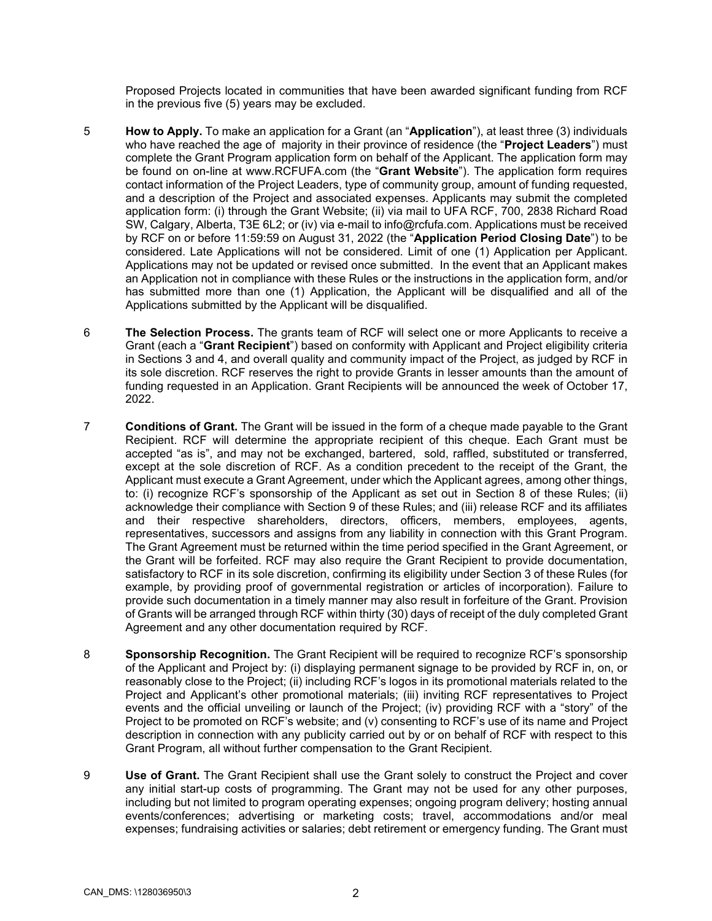Proposed Projects located in communities that have been awarded significant funding from RCF in the previous five (5) years may be excluded.

- 5 **How to Apply.** To make an application for a Grant (an "**Application**"), at least three (3) individuals who have reached the age of majority in their province of residence (the "**Project Leaders**") must complete the Grant Program application form on behalf of the Applicant. The application form may be found on on-line at www.RCFUFA.com (the "**Grant Website**"). The application form requires contact information of the Project Leaders, type of community group, amount of funding requested, and a description of the Project and associated expenses. Applicants may submit the completed application form: (i) through the Grant Website; (ii) via mail to UFA RCF, 700, 2838 Richard Road SW, Calgary, Alberta, T3E 6L2; or (iv) via e-mail to info@rcfufa.com. Applications must be received by RCF on or before 11:59:59 on August 31, 2022 (the "**Application Period Closing Date**") to be considered. Late Applications will not be considered. Limit of one (1) Application per Applicant. Applications may not be updated or revised once submitted. In the event that an Applicant makes an Application not in compliance with these Rules or the instructions in the application form, and/or has submitted more than one (1) Application, the Applicant will be disqualified and all of the Applications submitted by the Applicant will be disqualified.
- 6 **The Selection Process.** The grants team of RCF will select one or more Applicants to receive a Grant (each a "**Grant Recipient**") based on conformity with Applicant and Project eligibility criteria in Sections 3 and 4, and overall quality and community impact of the Project, as judged by RCF in its sole discretion. RCF reserves the right to provide Grants in lesser amounts than the amount of funding requested in an Application. Grant Recipients will be announced the week of October 17, 2022.
- 7 **Conditions of Grant.** The Grant will be issued in the form of a cheque made payable to the Grant Recipient. RCF will determine the appropriate recipient of this cheque. Each Grant must be accepted "as is", and may not be exchanged, bartered, sold, raffled, substituted or transferred, except at the sole discretion of RCF. As a condition precedent to the receipt of the Grant, the Applicant must execute a Grant Agreement, under which the Applicant agrees, among other things, to: (i) recognize RCF's sponsorship of the Applicant as set out in Section 8 of these Rules; (ii) acknowledge their compliance with Section 9 of these Rules; and (iii) release RCF and its affiliates and their respective shareholders, directors, officers, members, employees, agents, representatives, successors and assigns from any liability in connection with this Grant Program. The Grant Agreement must be returned within the time period specified in the Grant Agreement, or the Grant will be forfeited. RCF may also require the Grant Recipient to provide documentation, satisfactory to RCF in its sole discretion, confirming its eligibility under Section 3 of these Rules (for example, by providing proof of governmental registration or articles of incorporation). Failure to provide such documentation in a timely manner may also result in forfeiture of the Grant. Provision of Grants will be arranged through RCF within thirty (30) days of receipt of the duly completed Grant Agreement and any other documentation required by RCF.
- 8 **Sponsorship Recognition.** The Grant Recipient will be required to recognize RCF's sponsorship of the Applicant and Project by: (i) displaying permanent signage to be provided by RCF in, on, or reasonably close to the Project; (ii) including RCF's logos in its promotional materials related to the Project and Applicant's other promotional materials; (iii) inviting RCF representatives to Project events and the official unveiling or launch of the Project; (iv) providing RCF with a "story" of the Project to be promoted on RCF's website; and (v) consenting to RCF's use of its name and Project description in connection with any publicity carried out by or on behalf of RCF with respect to this Grant Program, all without further compensation to the Grant Recipient.
- 9 **Use of Grant.** The Grant Recipient shall use the Grant solely to construct the Project and cover any initial start-up costs of programming. The Grant may not be used for any other purposes, including but not limited to program operating expenses; ongoing program delivery; hosting annual events/conferences; advertising or marketing costs; travel, accommodations and/or meal expenses; fundraising activities or salaries; debt retirement or emergency funding. The Grant must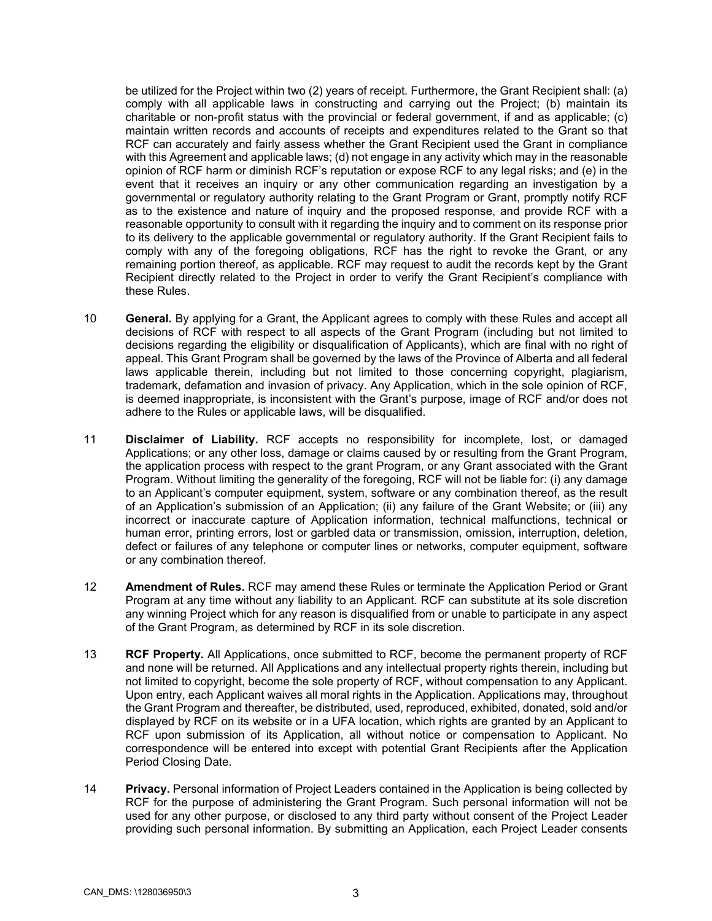be utilized for the Project within two (2) years of receipt. Furthermore, the Grant Recipient shall: (a) comply with all applicable laws in constructing and carrying out the Project; (b) maintain its charitable or non-profit status with the provincial or federal government, if and as applicable; (c) maintain written records and accounts of receipts and expenditures related to the Grant so that RCF can accurately and fairly assess whether the Grant Recipient used the Grant in compliance with this Agreement and applicable laws; (d) not engage in any activity which may in the reasonable opinion of RCF harm or diminish RCF's reputation or expose RCF to any legal risks; and (e) in the event that it receives an inquiry or any other communication regarding an investigation by a governmental or regulatory authority relating to the Grant Program or Grant, promptly notify RCF as to the existence and nature of inquiry and the proposed response, and provide RCF with a reasonable opportunity to consult with it regarding the inquiry and to comment on its response prior to its delivery to the applicable governmental or regulatory authority. If the Grant Recipient fails to comply with any of the foregoing obligations, RCF has the right to revoke the Grant, or any remaining portion thereof, as applicable. RCF may request to audit the records kept by the Grant Recipient directly related to the Project in order to verify the Grant Recipient's compliance with these Rules.

- 10 **General.** By applying for a Grant, the Applicant agrees to comply with these Rules and accept all decisions of RCF with respect to all aspects of the Grant Program (including but not limited to decisions regarding the eligibility or disqualification of Applicants), which are final with no right of appeal. This Grant Program shall be governed by the laws of the Province of Alberta and all federal laws applicable therein, including but not limited to those concerning copyright, plagiarism, trademark, defamation and invasion of privacy. Any Application, which in the sole opinion of RCF, is deemed inappropriate, is inconsistent with the Grant's purpose, image of RCF and/or does not adhere to the Rules or applicable laws, will be disqualified.
- 11 **Disclaimer of Liability.** RCF accepts no responsibility for incomplete, lost, or damaged Applications; or any other loss, damage or claims caused by or resulting from the Grant Program, the application process with respect to the grant Program, or any Grant associated with the Grant Program. Without limiting the generality of the foregoing, RCF will not be liable for: (i) any damage to an Applicant's computer equipment, system, software or any combination thereof, as the result of an Application's submission of an Application; (ii) any failure of the Grant Website; or (iii) any incorrect or inaccurate capture of Application information, technical malfunctions, technical or human error, printing errors, lost or garbled data or transmission, omission, interruption, deletion, defect or failures of any telephone or computer lines or networks, computer equipment, software or any combination thereof.
- 12 **Amendment of Rules.** RCF may amend these Rules or terminate the Application Period or Grant Program at any time without any liability to an Applicant. RCF can substitute at its sole discretion any winning Project which for any reason is disqualified from or unable to participate in any aspect of the Grant Program, as determined by RCF in its sole discretion.
- 13 **RCF Property.** All Applications, once submitted to RCF, become the permanent property of RCF and none will be returned. All Applications and any intellectual property rights therein, including but not limited to copyright, become the sole property of RCF, without compensation to any Applicant. Upon entry, each Applicant waives all moral rights in the Application. Applications may, throughout the Grant Program and thereafter, be distributed, used, reproduced, exhibited, donated, sold and/or displayed by RCF on its website or in a UFA location, which rights are granted by an Applicant to RCF upon submission of its Application, all without notice or compensation to Applicant. No correspondence will be entered into except with potential Grant Recipients after the Application Period Closing Date.
- 14 **Privacy.** Personal information of Project Leaders contained in the Application is being collected by RCF for the purpose of administering the Grant Program. Such personal information will not be used for any other purpose, or disclosed to any third party without consent of the Project Leader providing such personal information. By submitting an Application, each Project Leader consents